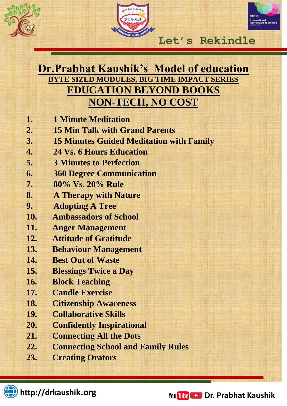



**Lives…**

## **Dr.Prabhat Kaushik's Model of education BYTE SIZED MODULES, BIG TIME IMPACT SERIES EDUCATION BEYOND BOOKS NON-TECH, NO COST**

- **1. 1 Minute Meditation**
- **2. 15 Min Talk with Grand Parents**
- **3. 15 Minutes Guided Meditation with Family**
- **4. 24 Vs. 6 Hours Education**
- **5. 3 Minutes to Perfection**
- **6. 360 Degree Communication**
- **7. 80% Vs. 20% Rule**
- **8. A Therapy with Nature**
- **9. Adopting A Tree**
- **10. Ambassadors of School**
- **11. Anger Management**
- **12. Attitude of Gratitude**
- **13. Behaviour Management**
- **14. Best Out of Waste**
- **15. Blessings Twice a Day**
- **16. Block Teaching**
- **17. Candle Exercise**
- **18. Citizenship Awareness**
- **19. Collaborative Skills**
- **20. Confidently Inspirational**
- **21. Connecting All the Dots**
- **22. Connecting School and Family Rules**
- **23. Creating Orators**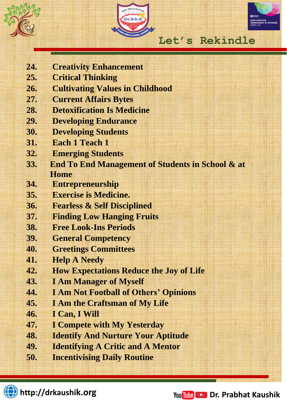





**Lives…**

- **24. Creativity Enhancement**
- **25. Critical Thinking**
- **26. Cultivating Values in Childhood**
- **27. Current Affairs Bytes**
- **28. Detoxification Is Medicine**
- **29. Developing Endurance**
- **30. Developing Students**
- **31. Each 1 Teach 1**
- **32. Emerging Students**
- **33. End To End Management of Students in School & at Home**
- **34. Entrepreneurship**
- **35. Exercise is Medicine.**
- **36. Fearless & Self Disciplined**
- **37. Finding Low Hanging Fruits**
- **38. Free Look-Ins Periods**
- **39. General Competency**
- **40. Greetings Committees**
- **41. Help A Needy**
- **42. How Expectations Reduce the Joy of Life**
- **43. I Am Manager of Myself**
- **44. I Am Not Football of Others' Opinions**
- **45. I Am the Craftsman of My Life**
- **46. I Can, I Will**
- **47. I Compete with My Yesterday**
- **48. Identify And Nurture Your Aptitude**
- **49. Identifying A Critic and A Mentor**
- **50. Incentivising Daily Routine**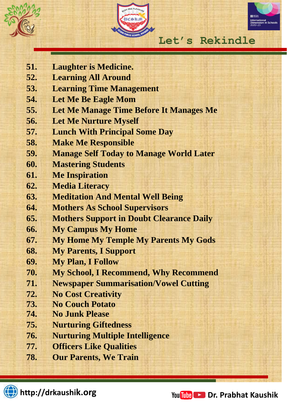





**Lives…**

- **51. Laughter is Medicine.**
- **52. Learning All Around**
- **53. Learning Time Management**
- **54. Let Me Be Eagle Mom**
- **55. Let Me Manage Time Before It Manages Me**
- **56. Let Me Nurture Myself**
- **57. Lunch With Principal Some Day**
- **58. Make Me Responsible**
- **59. Manage Self Today to Manage World Later**
- **60. Mastering Students**
- **61. Me Inspiration**
- **62. Media Literacy**
- **63. Meditation And Mental Well Being**
- **64. Mothers As School Supervisors**
- **65. Mothers Support in Doubt Clearance Daily**
- **66. My Campus My Home**
- **67. My Home My Temple My Parents My Gods**
- **68. My Parents, I Support**
- **69. My Plan, I Follow**
- **70. My School, I Recommend, Why Recommend**
- **71. Newspaper Summarisation/Vowel Cutting**
- **72. No Cost Creativity**
- **73. No Couch Potato**
- **74. No Junk Please**
- **75. Nurturing Giftedness**
- **76. Nurturing Multiple Intelligence**
- **77. Officers Like Qualities**
- **78. Our Parents, We Train**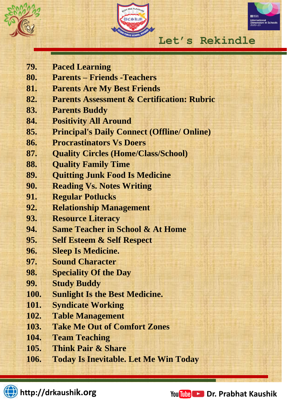





**Lives…**

- **79. Paced Learning**
- **80. Parents – Friends -Teachers**
- **81. Parents Are My Best Friends**
- **82. Parents Assessment & Certification: Rubric**
- **83. Parents Buddy**
- **84. Positivity All Around**
- **85. Principal's Daily Connect (Offline/ Online)**
- **86. Procrastinators Vs Doers**
- **87. Quality Circles (Home/Class/School)**
- **88. Quality Family Time**
- **89. Quitting Junk Food Is Medicine**
- **90. Reading Vs. Notes Writing**
- **91. Regular Potlucks**
- **92. Relationship Management**
- **93. Resource Literacy**
- **94. Same Teacher in School & At Home**
- **95. Self Esteem & Self Respect**
- **96. Sleep Is Medicine.**
- **97. Sound Character**
- **98. Speciality Of the Day**
- **99. Study Buddy**
- **100. Sunlight Is the Best Medicine.**
- **101. Syndicate Working**
- **102. Table Management**
- **103. Take Me Out of Comfort Zones**
- **104. Team Teaching**
- **105. Think Pair & Share**
- **106. Today Is Inevitable. Let Me Win Today**